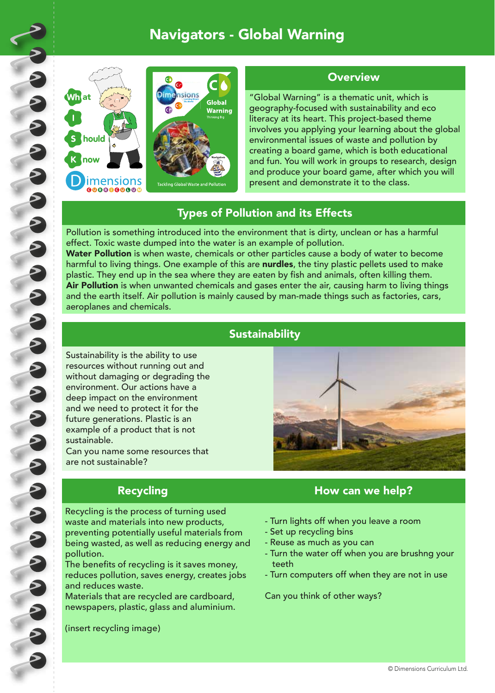## Navigators - Global Warning





### **Overview**

"Global Warning" is a thematic unit, which is geography-focused with sustainability and eco literacy at its heart. This project-based theme involves you applying your learning about the global environmental issues of waste and pollution by creating a board game, which is both educational and fun. You will work in groups to research, design and produce your board game, after which you will present and demonstrate it to the class.

### Types of Pollution and its Effects

Pollution is something introduced into the environment that is dirty, unclean or has a harmful effect. Toxic waste dumped into the water is an example of pollution. Water Pollution is when waste, chemicals or other particles cause a body of water to become harmful to living things. One example of this are nurdles, the tiny plastic pellets used to make

plastic. They end up in the sea where they are eaten by fish and animals, often killing them. Air Pollution is when unwanted chemicals and gases enter the air, causing harm to living things and the earth itself. Air pollution is mainly caused by man-made things such as factories, cars, aeroplanes and chemicals.

## **Sustainability**

Sustainability is the ability to use resources without running out and without damaging or degrading the environment. Our actions have a deep impact on the environment and we need to protect it for the future generations. Plastic is an example of a product that is not sustainable.

Can you name some resources that are not sustainable?

Recycling is the process of turning used waste and materials into new products, preventing potentially useful materials from being wasted, as well as reducing energy and pollution.

The benefits of recycling is it saves money, reduces pollution, saves energy, creates jobs and reduces waste.

Materials that are recycled are cardboard, newspapers, plastic, glass and aluminium.

(insert recycling image)



### Recycling **Recycling How can we help?**

- Turn lights off when you leave a room
- Set up recycling bins
- Reuse as much as you can
- Turn the water off when you are brushng your teeth
- Turn computers off when they are not in use

Can you think of other ways?

© Dimensions Curriculum Ltd.